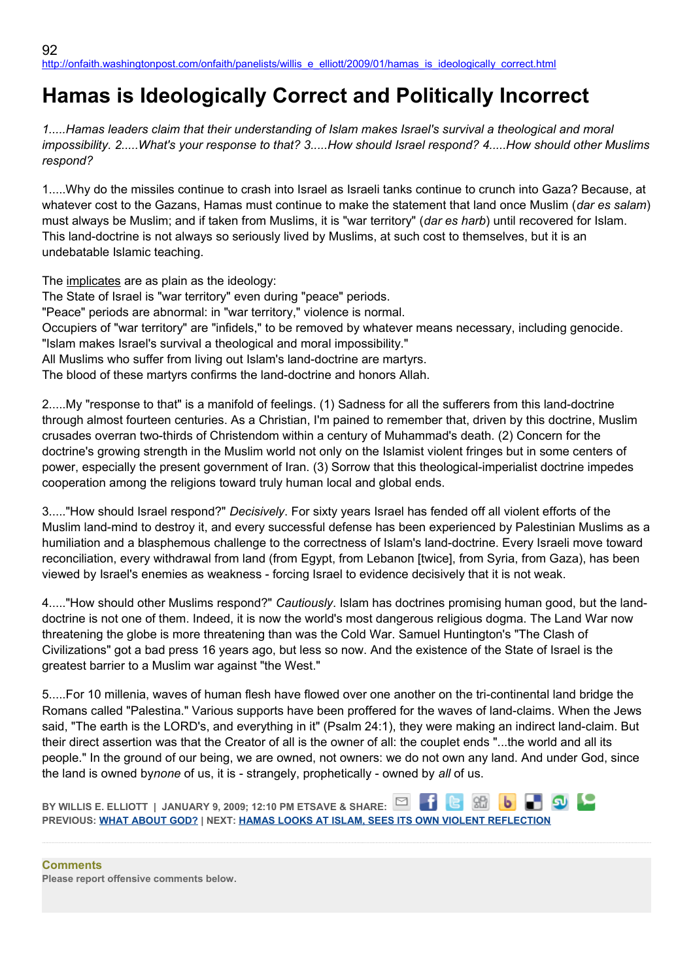## **Hamas is Ideologically Correct and Politically Incorrect**

1.....Hamas leaders claim that their understanding of Islam makes Israel's survival a theological and moral *impossibility. 2.....What's your response to that? 3.....How should Israel respond? 4.....How should other Muslims respond?*

1.....Why do the missiles continue to crash into Israel as Israeli tanks continue to crunch into Gaza? Because, at whatever cost to the Gazans, Hamas must continue to make the statement that land once Muslim (*dar es salam*) must always be Muslim; and if taken from Muslims, it is "war territory" (*dar es harb*) until recovered for Islam. This land-doctrine is not always so seriously lived by Muslims, at such cost to themselves, but it is an undebatable Islamic teaching.

The implicates are as plain as the ideology:

The State of Israel is "war territory" even during "peace" periods. "Peace" periods are abnormal: in "war territory," violence is normal. Occupiers of "war territory" are "infidels," to be removed by whatever means necessary, including genocide. "Islam makes Israel's survival a theological and moral impossibility." All Muslims who suffer from living out Islam's land-doctrine are martyrs. The blood of these martyrs confirms the land-doctrine and honors Allah.

2.....My "response to that" is a manifold of feelings. (1) Sadness for all the sufferers from this land-doctrine through almost fourteen centuries. As a Christian, I'm pained to remember that, driven by this doctrine, Muslim crusades overran two-thirds of Christendom within a century of Muhammad's death. (2) Concern for the doctrine's growing strength in the Muslim world not only on the Islamist violent fringes but in some centers of power, especially the present government of Iran. (3) Sorrow that this theological-imperialist doctrine impedes cooperation among the religions toward truly human local and global ends.

3....."How should Israel respond?" *Decisively*. For sixty years Israel has fended off all violent efforts of the Muslim land-mind to destroy it, and every successful defense has been experienced by Palestinian Muslims as a humiliation and a blasphemous challenge to the correctness of Islam's land-doctrine. Every Israeli move toward reconciliation, every withdrawal from land (from Egypt, from Lebanon [twice], from Syria, from Gaza), has been viewed by Israel's enemies as weakness - forcing Israel to evidence decisively that it is not weak.

4....."How should other Muslims respond?" *Cautiously*. Islam has doctrines promising human good, but the landdoctrine is not one of them. Indeed, it is now the world's most dangerous religious dogma. The Land War now threatening the globe is more threatening than was the Cold War. Samuel Huntington's "The Clash of Civilizations" got a bad press 16 years ago, but less so now. And the existence of the State of Israel is the greatest barrier to a Muslim war against "the West."

5.....For 10 millenia, waves of human flesh have flowed over one another on the tri-continental land bridge the Romans called "Palestina." Various supports have been proffered for the waves of land-claims. When the Jews said, "The earth is the LORD's, and everything in it" (Psalm 24:1), they were making an indirect land-claim. But their direct assertion was that the Creator of all is the owner of all: the couplet ends "...the world and all its people." In the ground of our being, we are owned, not owners: we do not own any land. And under God, since the land is owned by*none* of us, it is - strangely, prophetically - owned by *all* of us.

**BY WILLIS E. ELLIOTT | JANUARY 9, 2009; 12:10 PM ETSAVE & SHARE: PREVIOUS: [WHAT ABOUT GOD?](http://onfaith.washingtonpost.com/onfaith/panelists/susan_k_smith/2009/01/what_about_god.html) | NEXT: [HAMAS LOOKS AT ISLAM, SEES ITS OWN VIOLENT REFLECTION](http://onfaith.washingtonpost.com/onfaith/panelists/susan_brooks_thistlethwaite/2009/01/hamas_looks_at_islam--sees_the.html)**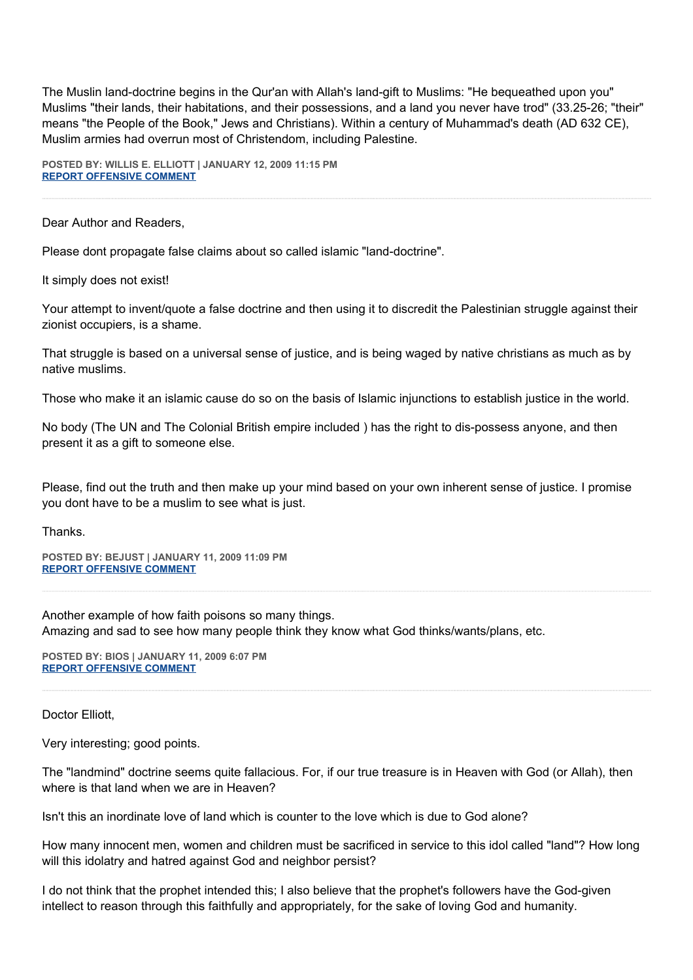The Muslin land-doctrine begins in the Qur'an with Allah's land-gift to Muslims: "He bequeathed upon you" Muslims "their lands, their habitations, and their possessions, and a land you never have trod" (33.25-26; "their" means "the People of the Book," Jews and Christians). Within a century of Muhammad's death (AD 632 CE), Muslim armies had overrun most of Christendom, including Palestine.

**POSTED BY: WILLIS E. ELLIOTT | JANUARY 12, 2009 11:15 PM [REPORT OFFENSIVE COMMENT](mailto:blogs@washingtonpost.com?subject=On%20Faith%20Panelists%20Blog%20%20%7C%20%20Willis%20E.%20Elliott%20%20%7C%20%20Hamas%20is%20Ideologically%20Correct%20and%20Politically%20Incorrect%20%20%7C%20%204583587&body=%0D%0D%0D%0D%0D================%0D?__mode=view%26_type=comment%26id=4583587%26blog_id=618)**

Dear Author and Readers,

Please dont propagate false claims about so called islamic "land-doctrine".

It simply does not exist!

Your attempt to invent/quote a false doctrine and then using it to discredit the Palestinian struggle against their zionist occupiers, is a shame.

That struggle is based on a universal sense of justice, and is being waged by native christians as much as by native muslims.

Those who make it an islamic cause do so on the basis of Islamic injunctions to establish justice in the world.

No body (The UN and The Colonial British empire included ) has the right to dis-possess anyone, and then present it as a gift to someone else.

Please, find out the truth and then make up your mind based on your own inherent sense of justice. I promise you dont have to be a muslim to see what is just.

Thanks.

**POSTED BY: BEJUST | JANUARY 11, 2009 11:09 PM [REPORT OFFENSIVE COMMENT](mailto:blogs@washingtonpost.com?subject=On%20Faith%20Panelists%20Blog%20%20%7C%20%20BeJust%20%20%7C%20%20Hamas%20is%20Ideologically%20Correct%20and%20Politically%20Incorrect%20%20%7C%20%204583148&body=%0D%0D%0D%0D%0D================%0D?__mode=view%26_type=comment%26id=4583148%26blog_id=618)**

Another example of how faith poisons so many things. Amazing and sad to see how many people think they know what God thinks/wants/plans, etc.

**POSTED BY: BIOS | JANUARY 11, 2009 6:07 PM [REPORT OFFENSIVE COMMENT](mailto:blogs@washingtonpost.com?subject=On%20Faith%20Panelists%20Blog%20%20%7C%20%20Bios%20%20%7C%20%20Hamas%20is%20Ideologically%20Correct%20and%20Politically%20Incorrect%20%20%7C%20%204583097&body=%0D%0D%0D%0D%0D================%0D?__mode=view%26_type=comment%26id=4583097%26blog_id=618)**

Doctor Elliott,

Very interesting; good points.

The "landmind" doctrine seems quite fallacious. For, if our true treasure is in Heaven with God (or Allah), then where is that land when we are in Heaven?

Isn't this an inordinate love of land which is counter to the love which is due to God alone?

How many innocent men, women and children must be sacrificed in service to this idol called "land"? How long will this idolatry and hatred against God and neighbor persist?

I do not think that the prophet intended this; I also believe that the prophet's followers have the God-given intellect to reason through this faithfully and appropriately, for the sake of loving God and humanity.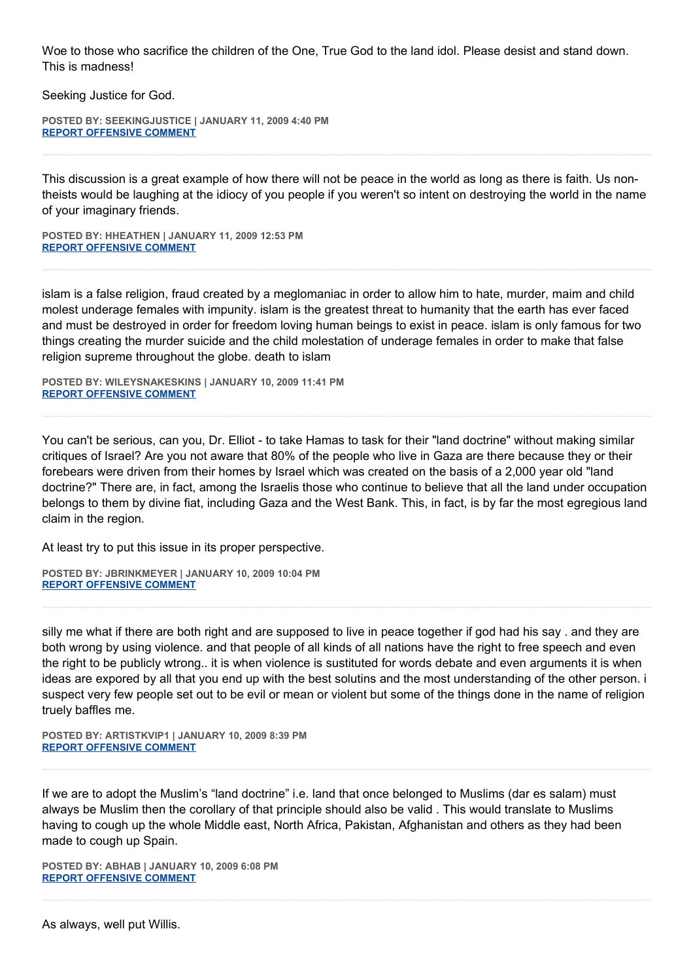Woe to those who sacrifice the children of the One, True God to the land idol. Please desist and stand down. This is madness!

Seeking Justice for God.

**POSTED BY: SEEKINGJUSTICE | JANUARY 11, 2009 4:40 PM [REPORT OFFENSIVE COMMENT](mailto:blogs@washingtonpost.com?subject=On%20Faith%20Panelists%20Blog%20%20%7C%20%20SeekingJustice%20%20%7C%20%20Hamas%20is%20Ideologically%20Correct%20and%20Politically%20Incorrect%20%20%7C%20%204583076&body=%0D%0D%0D%0D%0D================%0D?__mode=view%26_type=comment%26id=4583076%26blog_id=618)**

This discussion is a great example of how there will not be peace in the world as long as there is faith. Us nontheists would be laughing at the idiocy of you people if you weren't so intent on destroying the world in the name of your imaginary friends.

**POSTED BY: HHEATHEN | JANUARY 11, 2009 12:53 PM [REPORT OFFENSIVE COMMENT](mailto:blogs@washingtonpost.com?subject=On%20Faith%20Panelists%20Blog%20%20%7C%20%20HHeathen%20%20%7C%20%20Hamas%20is%20Ideologically%20Correct%20and%20Politically%20Incorrect%20%20%7C%20%204583045&body=%0D%0D%0D%0D%0D================%0D?__mode=view%26_type=comment%26id=4583045%26blog_id=618)**

islam is a false religion, fraud created by a meglomaniac in order to allow him to hate, murder, maim and child molest underage females with impunity. islam is the greatest threat to humanity that the earth has ever faced and must be destroyed in order for freedom loving human beings to exist in peace. islam is only famous for two things creating the murder suicide and the child molestation of underage females in order to make that false religion supreme throughout the globe. death to islam

**POSTED BY: WILEYSNAKESKINS | JANUARY 10, 2009 11:41 PM [REPORT OFFENSIVE COMMENT](mailto:blogs@washingtonpost.com?subject=On%20Faith%20Panelists%20Blog%20%20%7C%20%20wileysnakeskins%20%20%7C%20%20Hamas%20is%20Ideologically%20Correct%20and%20Politically%20Incorrect%20%20%7C%20%204582950&body=%0D%0D%0D%0D%0D================%0D?__mode=view%26_type=comment%26id=4582950%26blog_id=618)**

You can't be serious, can you, Dr. Elliot - to take Hamas to task for their "land doctrine" without making similar critiques of Israel? Are you not aware that 80% of the people who live in Gaza are there because they or their forebears were driven from their homes by Israel which was created on the basis of a 2,000 year old "land doctrine?" There are, in fact, among the Israelis those who continue to believe that all the land under occupation belongs to them by divine fiat, including Gaza and the West Bank. This, in fact, is by far the most egregious land claim in the region.

At least try to put this issue in its proper perspective.

**POSTED BY: JBRINKMEYER | JANUARY 10, 2009 10:04 PM [REPORT OFFENSIVE COMMENT](mailto:blogs@washingtonpost.com?subject=On%20Faith%20Panelists%20Blog%20%20%7C%20%20jbrinkmeyer%20%20%7C%20%20Hamas%20is%20Ideologically%20Correct%20and%20Politically%20Incorrect%20%20%7C%20%204582917&body=%0D%0D%0D%0D%0D================%0D?__mode=view%26_type=comment%26id=4582917%26blog_id=618)**

silly me what if there are both right and are supposed to live in peace together if god had his say . and they are both wrong by using violence. and that people of all kinds of all nations have the right to free speech and even the right to be publicly wtrong.. it is when violence is sustituted for words debate and even arguments it is when ideas are expored by all that you end up with the best solutins and the most understanding of the other person. i suspect very few people set out to be evil or mean or violent but some of the things done in the name of religion truely baffles me.

**POSTED BY: ARTISTKVIP1 | JANUARY 10, 2009 8:39 PM [REPORT OFFENSIVE COMMENT](mailto:blogs@washingtonpost.com?subject=On%20Faith%20Panelists%20Blog%20%20%7C%20%20artistkvip1%20%20%7C%20%20Hamas%20is%20Ideologically%20Correct%20and%20Politically%20Incorrect%20%20%7C%20%204582884&body=%0D%0D%0D%0D%0D================%0D?__mode=view%26_type=comment%26id=4582884%26blog_id=618)**

If we are to adopt the Muslim's "land doctrine" i.e. land that once belonged to Muslims (dar es salam) must always be Muslim then the corollary of that principle should also be valid . This would translate to Muslims having to cough up the whole Middle east, North Africa, Pakistan, Afghanistan and others as they had been made to cough up Spain.

**POSTED BY: ABHAB | JANUARY 10, 2009 6:08 PM [REPORT OFFENSIVE COMMENT](mailto:blogs@washingtonpost.com?subject=On%20Faith%20Panelists%20Blog%20%20%7C%20%20abhab%20%20%7C%20%20Hamas%20is%20Ideologically%20Correct%20and%20Politically%20Incorrect%20%20%7C%20%204582858&body=%0D%0D%0D%0D%0D================%0D?__mode=view%26_type=comment%26id=4582858%26blog_id=618)**